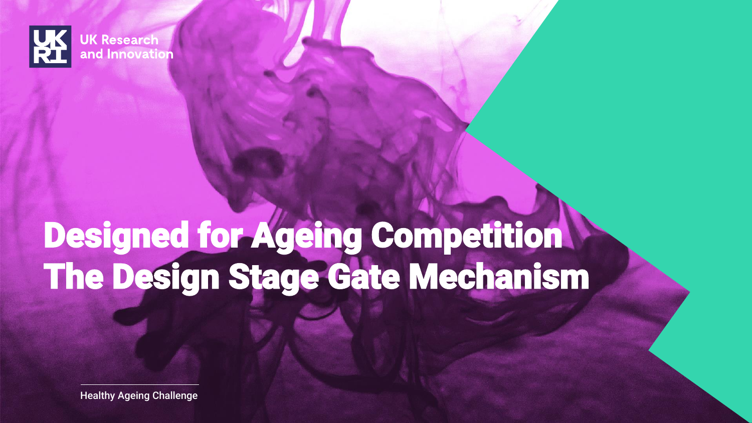

# Designed for Ageing Competition The Design Stage Gate Mechanism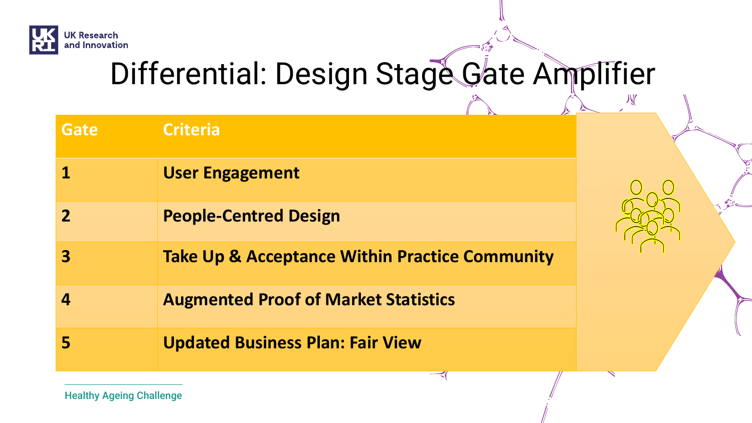

## Differential: Design Stage Gate Amplifier

≺

义

| <b>Gate</b>      | <b>Criteria</b>                                           |
|------------------|-----------------------------------------------------------|
|                  | <b>User Engagement</b>                                    |
|                  | <b>People-Centred Design</b>                              |
| 3                | <b>Take Up &amp; Acceptance Within Practice Community</b> |
| $\boldsymbol{A}$ | <b>Augmented Proof of Market Statistics</b>               |
|                  | <b>Updated Business Plan: Fair View</b>                   |

Healthy Ageing Challenge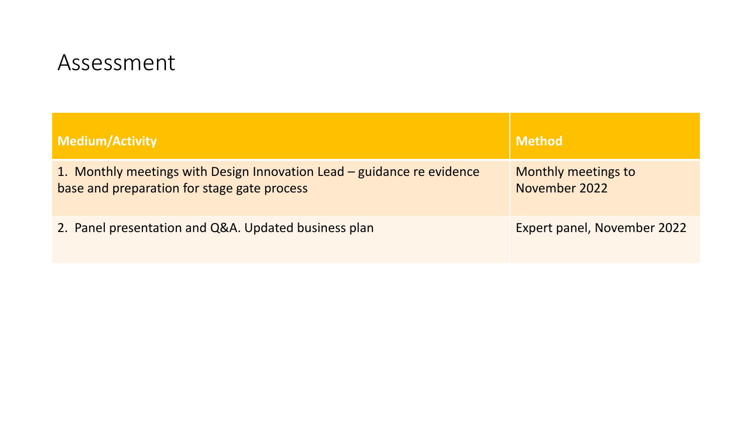#### Assessment

| Medium/Activity                                                                                                       | <b>Method</b>                        |
|-----------------------------------------------------------------------------------------------------------------------|--------------------------------------|
| 1. Monthly meetings with Design Innovation Lead – guidance re evidence<br>base and preparation for stage gate process | Monthly meetings to<br>November 2022 |
| 2. Panel presentation and Q&A. Updated business plan                                                                  | Expert panel, November 2022          |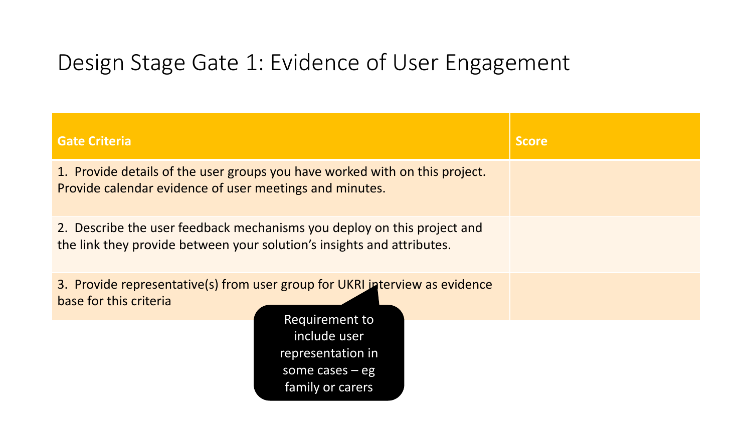#### Design Stage Gate 1: Evidence of User Engagement

| <b>Gate Criteria</b>                                                                                                                                                                                  | <b>Score</b> |
|-------------------------------------------------------------------------------------------------------------------------------------------------------------------------------------------------------|--------------|
| 1. Provide details of the user groups you have worked with on this project.<br>Provide calendar evidence of user meetings and minutes.                                                                |              |
| 2. Describe the user feedback mechanisms you deploy on this project and<br>the link they provide between your solution's insights and attributes.                                                     |              |
| 3. Provide representative(s) from user group for UKRI interview as evidence<br>base for this criteria<br>Requirement to<br>include user<br>representation in<br>some cases $-$ eg<br>family or carers |              |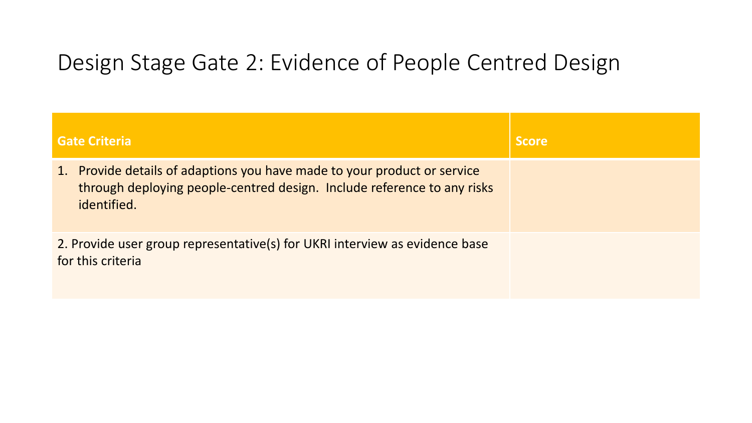#### Design Stage Gate 2: Evidence of People Centred Design

| <b>Gate Criteria</b>                                                                                                                                               | <b>Score</b> |
|--------------------------------------------------------------------------------------------------------------------------------------------------------------------|--------------|
| 1. Provide details of adaptions you have made to your product or service<br>through deploying people-centred design. Include reference to any risks<br>identified. |              |
| 2. Provide user group representative(s) for UKRI interview as evidence base<br>for this criteria                                                                   |              |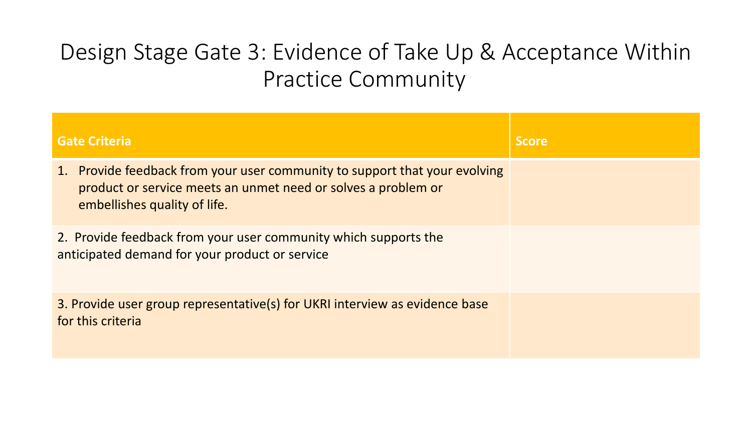### Design Stage Gate 3: Evidence of Take Up & Acceptance Within **Practice Community**

| <b>Gate Criteria</b>                                                                                                                                                        | <b>Score</b> |
|-----------------------------------------------------------------------------------------------------------------------------------------------------------------------------|--------------|
| 1. Provide feedback from your user community to support that your evolving<br>product or service meets an unmet need or solves a problem or<br>embellishes quality of life. |              |
| 2. Provide feedback from your user community which supports the<br>anticipated demand for your product or service                                                           |              |
| 3. Provide user group representative(s) for UKRI interview as evidence base<br>for this criteria                                                                            |              |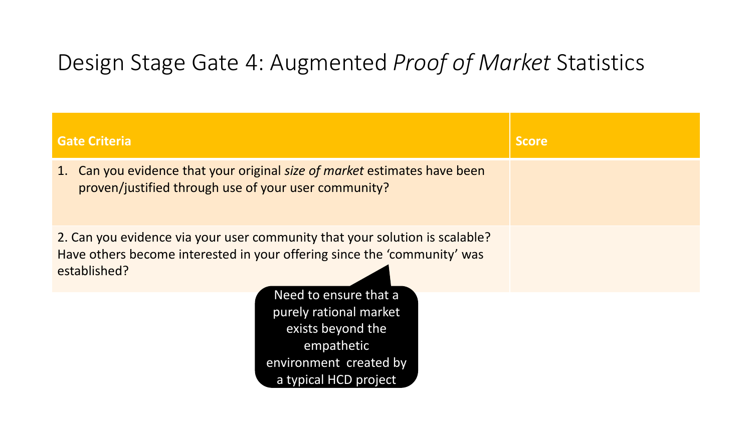#### Design Stage Gate 4: Augmented *Proof of Market* Statistics

| <b>Gate Criteria</b>                                                                                                                                                    | <b>Score</b> |
|-------------------------------------------------------------------------------------------------------------------------------------------------------------------------|--------------|
| 1. Can you evidence that your original size of market estimates have been<br>proven/justified through use of your user community?                                       |              |
| 2. Can you evidence via your user community that your solution is scalable?<br>Have others become interested in your offering since the 'community' was<br>established? |              |
| Need to ensure that a<br>purely rational market<br>exists beyond the<br>empathetic<br>environment created by<br>a typical HCD project                                   |              |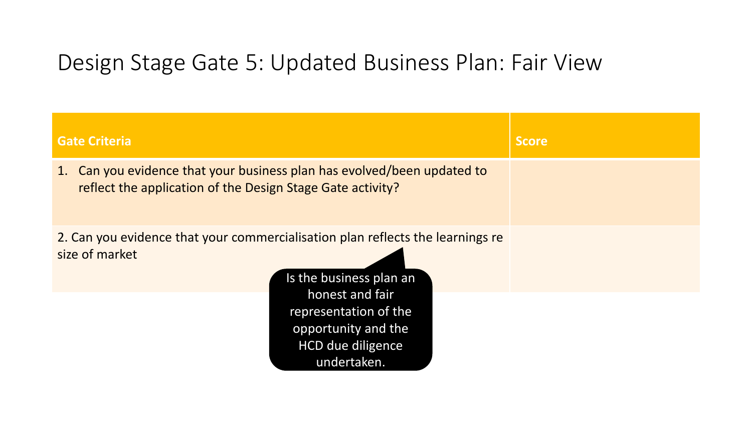#### Design Stage Gate 5: Updated Business Plan: Fair View

| <b>Gate Criteria</b>                                                                                                                                                                                                                      | <b>Score</b> |
|-------------------------------------------------------------------------------------------------------------------------------------------------------------------------------------------------------------------------------------------|--------------|
| 1. Can you evidence that your business plan has evolved/been updated to<br>reflect the application of the Design Stage Gate activity?                                                                                                     |              |
| 2. Can you evidence that your commercialisation plan reflects the learnings re<br>size of market<br>Is the business plan an<br>honest and fair<br>representation of the<br>opportunity and the<br><b>HCD due diligence</b><br>undertaken. |              |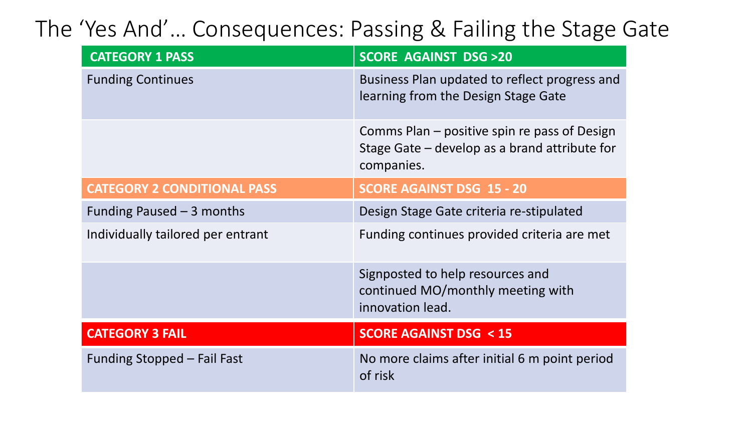### The 'Yes And'… Consequences: Passing & Failing the Stage Gate

| <b>CATEGORY 1 PASS</b>             | <b>SCORE AGAINST DSG &gt;20</b>                                                                             |
|------------------------------------|-------------------------------------------------------------------------------------------------------------|
| <b>Funding Continues</b>           | Business Plan updated to reflect progress and<br>learning from the Design Stage Gate                        |
|                                    | Comms Plan – positive spin re pass of Design<br>Stage Gate – develop as a brand attribute for<br>companies. |
| <b>CATEGORY 2 CONDITIONAL PASS</b> | <b>SCORE AGAINST DSG 15 - 20</b>                                                                            |
| Funding Paused $-$ 3 months        | Design Stage Gate criteria re-stipulated                                                                    |
| Individually tailored per entrant  | Funding continues provided criteria are met                                                                 |
|                                    | Signposted to help resources and<br>continued MO/monthly meeting with<br>innovation lead.                   |
| <b>CATEGORY 3 FAIL</b>             | <b>SCORE AGAINST DSG &lt; 15</b>                                                                            |
| Funding Stopped – Fail Fast        | No more claims after initial 6 m point period<br>of risk                                                    |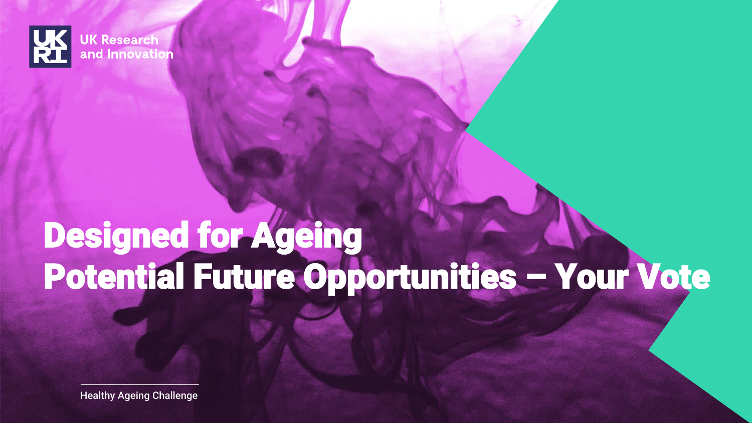

# Designed for Ageing Potential Future Opportunities – Your Vote

Healthy Ageing Challenge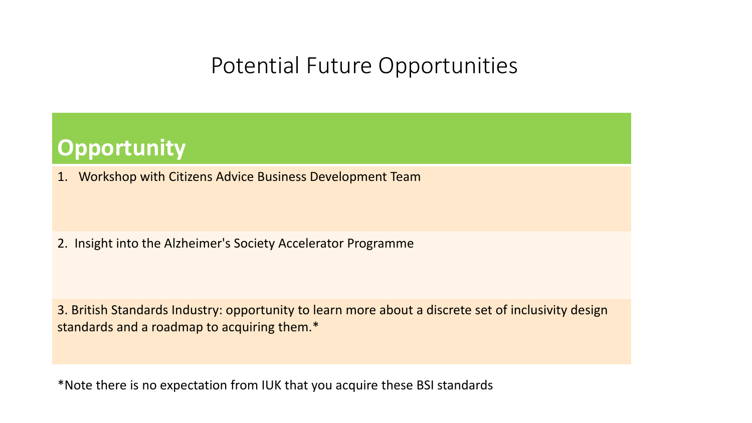#### **Potential Future Opportunities**

#### • **Gate Criteria Opportunity**

1. Workshop with Citizens Advice Business Development Team

2. Insight into the Alzheimer's Society Accelerator Programme

3. British Standards Industry: opportunity to learn more about a discrete set of inclusivity design standards and a roadmap to acquiring them.\*

\*Note there is no expectation from IUK that you acquire these BSI standards